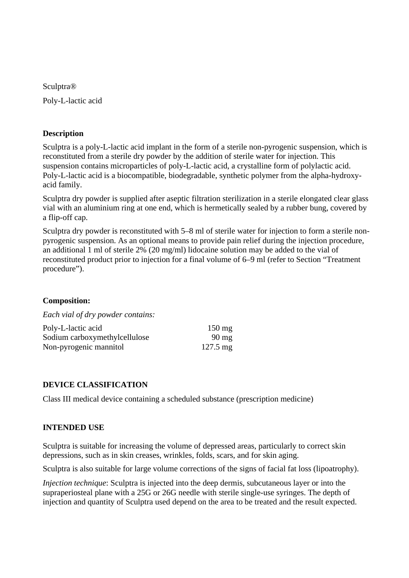Sculptra®

Poly-L-lactic acid

### **Description**

Sculptra is a poly-L-lactic acid implant in the form of a sterile non-pyrogenic suspension, which is reconstituted from a sterile dry powder by the addition of sterile water for injection. This suspension contains microparticles of poly-L-lactic acid, a crystalline form of polylactic acid. Poly-L-lactic acid is a biocompatible, biodegradable, synthetic polymer from the alpha-hydroxyacid family.

Sculptra dry powder is supplied after aseptic filtration sterilization in a sterile elongated clear glass vial with an aluminium ring at one end, which is hermetically sealed by a rubber bung, covered by a flip-off cap.

Sculptra dry powder is reconstituted with 5–8 ml of sterile water for injection to form a sterile nonpyrogenic suspension. As an optional means to provide pain relief during the injection procedure, an additional 1 ml of sterile 2% (20 mg/ml) lidocaine solution may be added to the vial of reconstituted product prior to injection for a final volume of 6–9 ml (refer to Section "Treatment procedure").

#### **Composition:**

*Each vial of dry powder contains:* 

| Poly-L-lactic acid            | $150 \text{ mg}$   |
|-------------------------------|--------------------|
| Sodium carboxymethylcellulose | $90 \text{ mg}$    |
| Non-pyrogenic mannitol        | $127.5 \text{ mg}$ |

### **DEVICE CLASSIFICATION**

Class III medical device containing a scheduled substance (prescription medicine)

#### **INTENDED USE**

Sculptra is suitable for increasing the volume of depressed areas, particularly to correct skin depressions, such as in skin creases, wrinkles, folds, scars, and for skin aging.

Sculptra is also suitable for large volume corrections of the signs of facial fat loss (lipoatrophy).

*Injection technique*: Sculptra is injected into the deep dermis, subcutaneous layer or into the supraperiosteal plane with a 25G or 26G needle with sterile single-use syringes. The depth of injection and quantity of Sculptra used depend on the area to be treated and the result expected.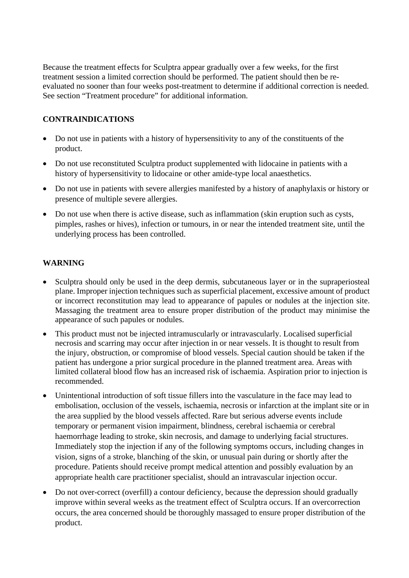Because the treatment effects for Sculptra appear gradually over a few weeks, for the first treatment session a limited correction should be performed. The patient should then be reevaluated no sooner than four weeks post-treatment to determine if additional correction is needed. See section "Treatment procedure" for additional information.

## **CONTRAINDICATIONS**

- Do not use in patients with a history of hypersensitivity to any of the constituents of the product.
- Do not use reconstituted Sculptra product supplemented with lidocaine in patients with a history of hypersensitivity to lidocaine or other amide-type local anaesthetics.
- Do not use in patients with severe allergies manifested by a history of anaphylaxis or history or presence of multiple severe allergies.
- Do not use when there is active disease, such as inflammation (skin eruption such as cysts, pimples, rashes or hives), infection or tumours, in or near the intended treatment site, until the underlying process has been controlled.

## **WARNING**

- Sculptra should only be used in the deep dermis, subcutaneous layer or in the supraperiosteal plane. Improper injection techniques such as superficial placement, excessive amount of product or incorrect reconstitution may lead to appearance of papules or nodules at the injection site. Massaging the treatment area to ensure proper distribution of the product may minimise the appearance of such papules or nodules.
- This product must not be injected intramuscularly or intravascularly. Localised superficial necrosis and scarring may occur after injection in or near vessels. It is thought to result from the injury, obstruction, or compromise of blood vessels. Special caution should be taken if the patient has undergone a prior surgical procedure in the planned treatment area. Areas with limited collateral blood flow has an increased risk of ischaemia. Aspiration prior to injection is recommended.
- Unintentional introduction of soft tissue fillers into the vasculature in the face may lead to embolisation, occlusion of the vessels, ischaemia, necrosis or infarction at the implant site or in the area supplied by the blood vessels affected. Rare but serious adverse events include temporary or permanent vision impairment, blindness, cerebral ischaemia or cerebral haemorrhage leading to stroke, skin necrosis, and damage to underlying facial structures. Immediately stop the injection if any of the following symptoms occurs, including changes in vision, signs of a stroke, blanching of the skin, or unusual pain during or shortly after the procedure. Patients should receive prompt medical attention and possibly evaluation by an appropriate health care practitioner specialist, should an intravascular injection occur.
- Do not over-correct (overfill) a contour deficiency, because the depression should gradually improve within several weeks as the treatment effect of Sculptra occurs. If an overcorrection occurs, the area concerned should be thoroughly massaged to ensure proper distribution of the product.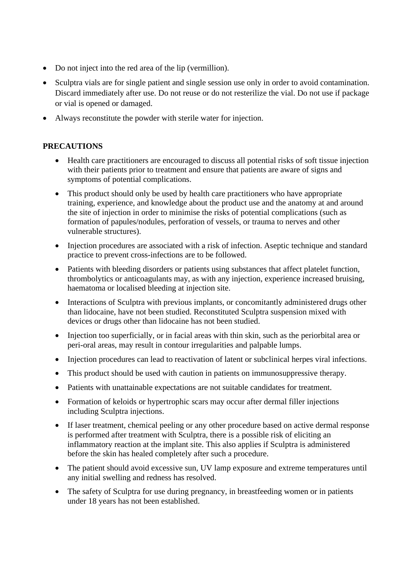- Do not inject into the red area of the lip (vermillion).
- Sculptra vials are for single patient and single session use only in order to avoid contamination. Discard immediately after use. Do not reuse or do not resterilize the vial. Do not use if package or vial is opened or damaged.
- Always reconstitute the powder with sterile water for injection.

# **PRECAUTIONS**

- Health care practitioners are encouraged to discuss all potential risks of soft tissue injection with their patients prior to treatment and ensure that patients are aware of signs and symptoms of potential complications.
- This product should only be used by health care practitioners who have appropriate training, experience, and knowledge about the product use and the anatomy at and around the site of injection in order to minimise the risks of potential complications (such as formation of papules/nodules, perforation of vessels, or trauma to nerves and other vulnerable structures).
- Injection procedures are associated with a risk of infection. Aseptic technique and standard practice to prevent cross-infections are to be followed.
- Patients with bleeding disorders or patients using substances that affect platelet function, thrombolytics or anticoagulants may, as with any injection, experience increased bruising, haematoma or localised bleeding at injection site.
- Interactions of Sculptra with previous implants, or concomitantly administered drugs other than lidocaine, have not been studied. Reconstituted Sculptra suspension mixed with devices or drugs other than lidocaine has not been studied.
- Injection too superficially, or in facial areas with thin skin, such as the periorbital area or peri-oral areas, may result in contour irregularities and palpable lumps.
- Injection procedures can lead to reactivation of latent or subclinical herpes viral infections.
- This product should be used with caution in patients on immunosuppressive therapy.
- Patients with unattainable expectations are not suitable candidates for treatment.
- Formation of keloids or hypertrophic scars may occur after dermal filler injections including Sculptra injections.
- If laser treatment, chemical peeling or any other procedure based on active dermal response is performed after treatment with Sculptra, there is a possible risk of eliciting an inflammatory reaction at the implant site. This also applies if Sculptra is administered before the skin has healed completely after such a procedure.
- The patient should avoid excessive sun, UV lamp exposure and extreme temperatures until any initial swelling and redness has resolved.
- The safety of Sculptra for use during pregnancy, in breastfeeding women or in patients under 18 years has not been established.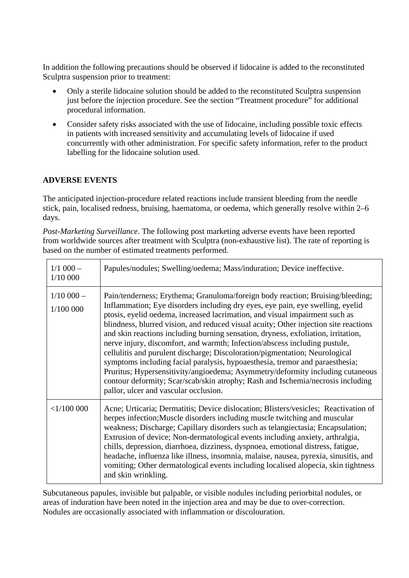In addition the following precautions should be observed if lidocaine is added to the reconstituted Sculptra suspension prior to treatment:

- Only a sterile lidocaine solution should be added to the reconstituted Sculptra suspension just before the injection procedure. See the section "Treatment procedure" for additional procedural information.
- Consider safety risks associated with the use of lidocaine, including possible toxic effects in patients with increased sensitivity and accumulating levels of lidocaine if used concurrently with other administration. For specific safety information, refer to the product labelling for the lidocaine solution used.

## **ADVERSE EVENTS**

The anticipated injection-procedure related reactions include transient bleeding from the needle stick, pain, localised redness, bruising, haematoma, or oedema, which generally resolve within 2–6 days.

*Post-Marketing Surveillance*. The following post marketing adverse events have been reported from worldwide sources after treatment with Sculptra (non-exhaustive list). The rate of reporting is based on the number of estimated treatments performed.

| $1/1$ 000 $-$<br>1/10 000 | Papules/nodules; Swelling/oedema; Mass/induration; Device ineffective.                                                                                                                                                                                                                                                                                                                                                                                                                                                                                                                                                                                                                                                                                                                                                                                                                  |
|---------------------------|-----------------------------------------------------------------------------------------------------------------------------------------------------------------------------------------------------------------------------------------------------------------------------------------------------------------------------------------------------------------------------------------------------------------------------------------------------------------------------------------------------------------------------------------------------------------------------------------------------------------------------------------------------------------------------------------------------------------------------------------------------------------------------------------------------------------------------------------------------------------------------------------|
| $1/10000 -$<br>1/100 000  | Pain/tenderness; Erythema; Granuloma/foreign body reaction; Bruising/bleeding;<br>Inflammation; Eye disorders including dry eyes, eye pain, eye swelling, eyelid<br>ptosis, eyelid oedema, increased lacrimation, and visual impairment such as<br>blindness, blurred vision, and reduced visual acuity; Other injection site reactions<br>and skin reactions including burning sensation, dryness, exfoliation, irritation,<br>nerve injury, discomfort, and warmth; Infection/abscess including pustule,<br>cellulitis and purulent discharge; Discoloration/pigmentation; Neurological<br>symptoms including facial paralysis, hypoaesthesia, tremor and paraesthesia;<br>Pruritus; Hypersensitivity/angioedema; Asymmetry/deformity including cutaneous<br>contour deformity; Scar/scab/skin atrophy; Rash and Ischemia/necrosis including<br>pallor, ulcer and vascular occlusion. |
| <1/100000                 | Acne; Urticaria; Dermatitis; Device dislocation; Blisters/vesicles; Reactivation of<br>herpes infection; Muscle disorders including muscle twitching and muscular<br>weakness; Discharge; Capillary disorders such as telangiectasia; Encapsulation;<br>Extrusion of device; Non-dermatological events including anxiety, arthralgia,<br>chills, depression, diarrhoea, dizziness, dyspnoea, emotional distress, fatigue,<br>headache, influenza like illness, insomnia, malaise, nausea, pyrexia, sinusitis, and<br>vomiting; Other dermatological events including localised alopecia, skin tightness<br>and skin wrinkling.                                                                                                                                                                                                                                                          |

Subcutaneous papules, invisible but palpable, or visible nodules including periorbital nodules, or areas of induration have been noted in the injection area and may be due to over-correction. Nodules are occasionally associated with inflammation or discolouration.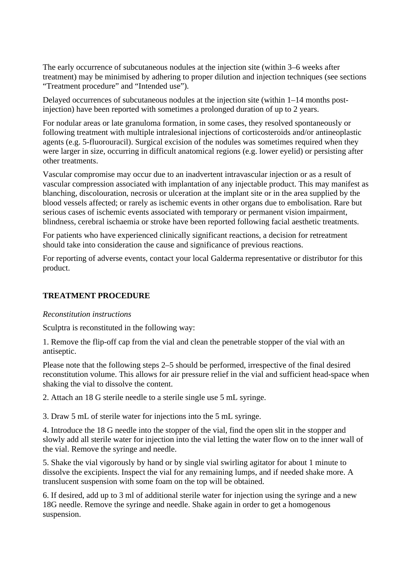The early occurrence of subcutaneous nodules at the injection site (within 3–6 weeks after treatment) may be minimised by adhering to proper dilution and injection techniques (see sections "Treatment procedure" and "Intended use").

Delayed occurrences of subcutaneous nodules at the injection site (within 1–14 months postinjection) have been reported with sometimes a prolonged duration of up to 2 years.

For nodular areas or late granuloma formation, in some cases, they resolved spontaneously or following treatment with multiple intralesional injections of corticosteroids and/or antineoplastic agents (e.g. 5-fluorouracil). Surgical excision of the nodules was sometimes required when they were larger in size, occurring in difficult anatomical regions (e.g. lower eyelid) or persisting after other treatments.

Vascular compromise may occur due to an inadvertent intravascular injection or as a result of vascular compression associated with implantation of any injectable product. This may manifest as blanching, discolouration, necrosis or ulceration at the implant site or in the area supplied by the blood vessels affected; or rarely as ischemic events in other organs due to embolisation. Rare but serious cases of ischemic events associated with temporary or permanent vision impairment, blindness, cerebral ischaemia or stroke have been reported following facial aesthetic treatments.

For patients who have experienced clinically significant reactions, a decision for retreatment should take into consideration the cause and significance of previous reactions.

For reporting of adverse events, contact your local Galderma representative or distributor for this product.

# **TREATMENT PROCEDURE**

#### *Reconstitution instructions*

Sculptra is reconstituted in the following way:

1. Remove the flip-off cap from the vial and clean the penetrable stopper of the vial with an antiseptic.

Please note that the following steps 2–5 should be performed, irrespective of the final desired reconstitution volume. This allows for air pressure relief in the vial and sufficient head-space when shaking the vial to dissolve the content.

2. Attach an 18 G sterile needle to a sterile single use 5 mL syringe.

3. Draw 5 mL of sterile water for injections into the 5 mL syringe.

4. Introduce the 18 G needle into the stopper of the vial, find the open slit in the stopper and slowly add all sterile water for injection into the vial letting the water flow on to the inner wall of the vial. Remove the syringe and needle.

5. Shake the vial vigorously by hand or by single vial swirling agitator for about 1 minute to dissolve the excipients. Inspect the vial for any remaining lumps, and if needed shake more. A translucent suspension with some foam on the top will be obtained.

6. If desired, add up to 3 ml of additional sterile water for injection using the syringe and a new 18G needle. Remove the syringe and needle. Shake again in order to get a homogenous suspension.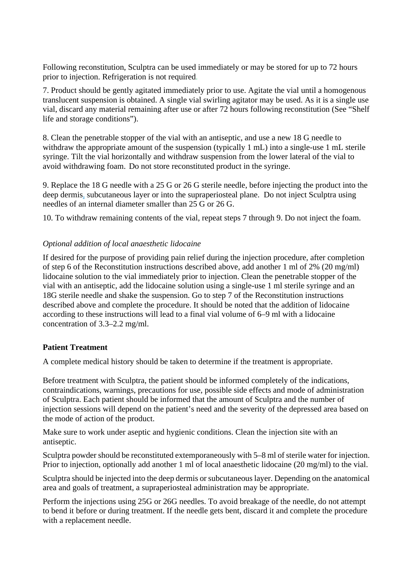Following reconstitution, Sculptra can be used immediately or may be stored for up to 72 hours prior to injection. Refrigeration is not required.

7. Product should be gently agitated immediately prior to use. Agitate the vial until a homogenous translucent suspension is obtained. A single vial swirling agitator may be used. As it is a single use vial, discard any material remaining after use or after 72 hours following reconstitution (See "Shelf life and storage conditions").

8. Clean the penetrable stopper of the vial with an antiseptic, and use a new 18 G needle to withdraw the appropriate amount of the suspension (typically 1 mL) into a single-use 1 mL sterile syringe. Tilt the vial horizontally and withdraw suspension from the lower lateral of the vial to avoid withdrawing foam. Do not store reconstituted product in the syringe.

9. Replace the 18 G needle with a 25 G or 26 G sterile needle, before injecting the product into the deep dermis, subcutaneous layer or into the supraperiosteal plane. Do not inject Sculptra using needles of an internal diameter smaller than 25 G or 26 G.

10. To withdraw remaining contents of the vial, repeat steps 7 through 9. Do not inject the foam.

### *Optional addition of local anaesthetic lidocaine*

If desired for the purpose of providing pain relief during the injection procedure, after completion of step 6 of the Reconstitution instructions described above, add another 1 ml of 2% (20 mg/ml) lidocaine solution to the vial immediately prior to injection. Clean the penetrable stopper of the vial with an antiseptic, add the lidocaine solution using a single-use 1 ml sterile syringe and an 18G sterile needle and shake the suspension. Go to step 7 of the Reconstitution instructions described above and complete the procedure. It should be noted that the addition of lidocaine according to these instructions will lead to a final vial volume of 6–9 ml with a lidocaine concentration of 3.3–2.2 mg/ml.

### **Patient Treatment**

A complete medical history should be taken to determine if the treatment is appropriate.

Before treatment with Sculptra, the patient should be informed completely of the indications, contraindications, warnings, precautions for use, possible side effects and mode of administration of Sculptra. Each patient should be informed that the amount of Sculptra and the number of injection sessions will depend on the patient's need and the severity of the depressed area based on the mode of action of the product.

Make sure to work under aseptic and hygienic conditions. Clean the injection site with an antiseptic.

Sculptra powder should be reconstituted extemporaneously with 5–8 ml of sterile water for injection. Prior to injection, optionally add another 1 ml of local anaesthetic lidocaine (20 mg/ml) to the vial.

Sculptra should be injected into the deep dermis or subcutaneous layer. Depending on the anatomical area and goals of treatment, a supraperiosteal administration may be appropriate.

Perform the injections using 25G or 26G needles. To avoid breakage of the needle, do not attempt to bend it before or during treatment. If the needle gets bent, discard it and complete the procedure with a replacement needle.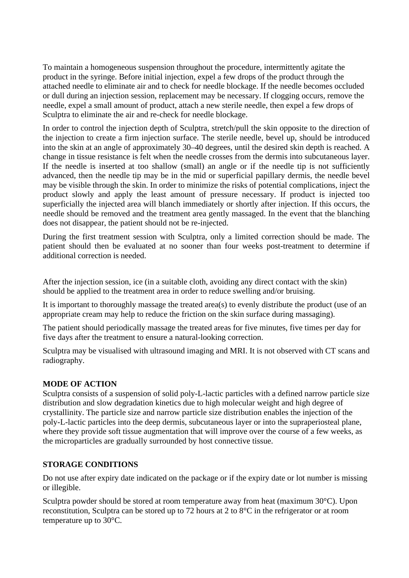To maintain a homogeneous suspension throughout the procedure, intermittently agitate the product in the syringe. Before initial injection, expel a few drops of the product through the attached needle to eliminate air and to check for needle blockage. If the needle becomes occluded or dull during an injection session, replacement may be necessary. If clogging occurs, remove the needle, expel a small amount of product, attach a new sterile needle, then expel a few drops of Sculptra to eliminate the air and re-check for needle blockage.

In order to control the injection depth of Sculptra, stretch/pull the skin opposite to the direction of the injection to create a firm injection surface. The sterile needle, bevel up, should be introduced into the skin at an angle of approximately 30–40 degrees, until the desired skin depth is reached. A change in tissue resistance is felt when the needle crosses from the dermis into subcutaneous layer. If the needle is inserted at too shallow (small) an angle or if the needle tip is not sufficiently advanced, then the needle tip may be in the mid or superficial papillary dermis, the needle bevel may be visible through the skin. In order to minimize the risks of potential complications, inject the product slowly and apply the least amount of pressure necessary. If product is injected too superficially the injected area will blanch immediately or shortly after injection. If this occurs, the needle should be removed and the treatment area gently massaged. In the event that the blanching does not disappear, the patient should not be re-injected.

During the first treatment session with Sculptra, only a limited correction should be made. The patient should then be evaluated at no sooner than four weeks post-treatment to determine if additional correction is needed.

After the injection session, ice (in a suitable cloth, avoiding any direct contact with the skin) should be applied to the treatment area in order to reduce swelling and/or bruising.

It is important to thoroughly massage the treated area(s) to evenly distribute the product (use of an appropriate cream may help to reduce the friction on the skin surface during massaging).

The patient should periodically massage the treated areas for five minutes, five times per day for five days after the treatment to ensure a natural-looking correction.

Sculptra may be visualised with ultrasound imaging and MRI. It is not observed with CT scans and radiography.

# **MODE OF ACTION**

Sculptra consists of a suspension of solid poly-L-lactic particles with a defined narrow particle size distribution and slow degradation kinetics due to high molecular weight and high degree of crystallinity. The particle size and narrow particle size distribution enables the injection of the poly-L-lactic particles into the deep dermis, subcutaneous layer or into the supraperiosteal plane, where they provide soft tissue augmentation that will improve over the course of a few weeks, as the microparticles are gradually surrounded by host connective tissue.

### **STORAGE CONDITIONS**

Do not use after expiry date indicated on the package or if the expiry date or lot number is missing or illegible.

Sculptra powder should be stored at room temperature away from heat (maximum 30°C). Upon reconstitution, Sculptra can be stored up to 72 hours at 2 to 8°C in the refrigerator or at room temperature up to 30°C.